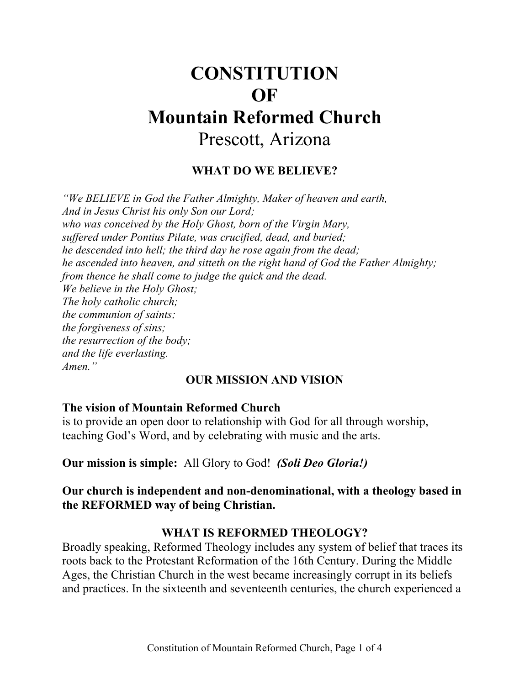# **CONSTITUTION OF Mountain Reformed Church** Prescott, Arizona

#### **WHAT DO WE BELIEVE?**

*"We BELIEVE in God the Father Almighty, Maker of heaven and earth, And in Jesus Christ his only Son our Lord; who was conceived by the Holy Ghost, born of the Virgin Mary, suffered under Pontius Pilate, was crucified, dead, and buried; he descended into hell; the third day he rose again from the dead; he ascended into heaven, and sitteth on the right hand of God the Father Almighty; from thence he shall come to judge the quick and the dead. We believe in the Holy Ghost; The holy catholic church; the communion of saints; the forgiveness of sins; the resurrection of the body; and the life everlasting. Amen."*

#### **OUR MISSION AND VISION**

#### **The vision of Mountain Reformed Church**

is to provide an open door to relationship with God for all through worship, teaching God's Word, and by celebrating with music and the arts.

**Our mission is simple:** All Glory to God! *(Soli Deo Gloria!)* 

**Our church is independent and non-denominational, with a theology based in the REFORMED way of being Christian.**

#### **WHAT IS REFORMED THEOLOGY?**

Broadly speaking, Reformed Theology includes any system of belief that traces its roots back to the Protestant Reformation of the 16th Century. During the Middle Ages, the Christian Church in the west became increasingly corrupt in its beliefs and practices. In the sixteenth and seventeenth centuries, the church experienced a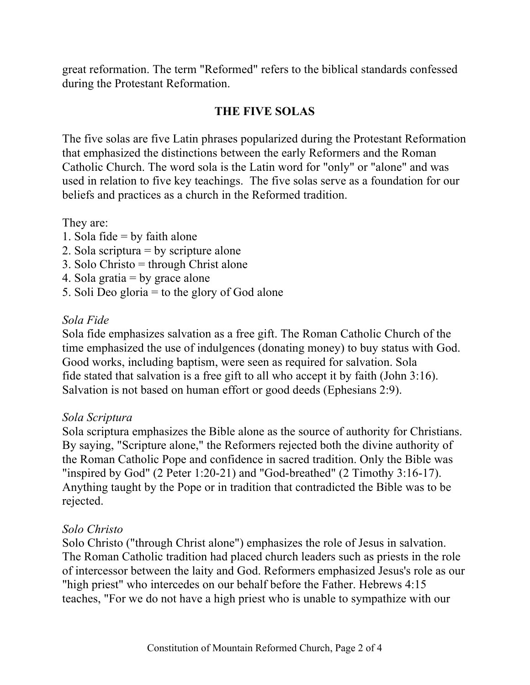great reformation. The term "Reformed" refers to the biblical standards confessed during the Protestant Reformation.

# **THE FIVE SOLAS**

The five solas are five Latin phrases popularized during the Protestant Reformation that emphasized the distinctions between the early Reformers and the Roman Catholic Church. The word sola is the Latin word for "only" or "alone" and was used in relation to five key teachings. The five solas serve as a foundation for our beliefs and practices as a church in the Reformed tradition.

They are:

- 1. Sola fide  $=$  by faith alone
- 2. Sola scriptura = by scripture alone
- 3. Solo Christo = through Christ alone
- 4. Sola gratia  $=$  by grace alone
- 5. Soli Deo gloria = to the glory of God alone

# *Sola Fide*

Sola fide emphasizes salvation as a free gift. The Roman Catholic Church of the time emphasized the use of indulgences (donating money) to buy status with God. Good works, including baptism, were seen as required for salvation. Sola fide stated that salvation is a free gift to all who accept it by faith (John 3:16). Salvation is not based on human effort or good deeds (Ephesians 2:9).

# *Sola Scriptura*

Sola scriptura emphasizes the Bible alone as the source of authority for Christians. By saying, "Scripture alone," the Reformers rejected both the divine authority of the Roman Catholic Pope and confidence in sacred tradition. Only the Bible was "inspired by God" (2 Peter 1:20-21) and "God-breathed" (2 Timothy 3:16-17). Anything taught by the Pope or in tradition that contradicted the Bible was to be rejected.

# *Solo Christo*

Solo Christo ("through Christ alone") emphasizes the role of Jesus in salvation. The Roman Catholic tradition had placed church leaders such as priests in the role of intercessor between the laity and God. Reformers emphasized Jesus's role as our "high priest" who intercedes on our behalf before the Father. Hebrews 4:15 teaches, "For we do not have a high priest who is unable to sympathize with our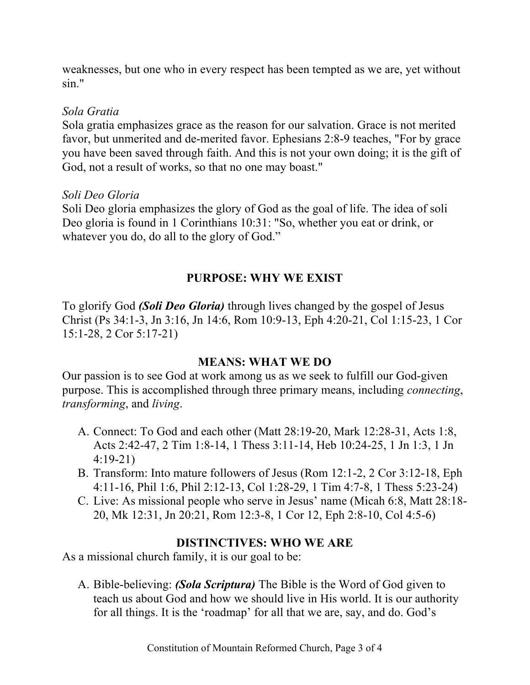weaknesses, but one who in every respect has been tempted as we are, yet without sin."

#### *Sola Gratia*

Sola gratia emphasizes grace as the reason for our salvation. Grace is not merited favor, but unmerited and de-merited favor. Ephesians 2:8-9 teaches, "For by grace you have been saved through faith. And this is not your own doing; it is the gift of God, not a result of works, so that no one may boast."

#### *Soli Deo Gloria*

Soli Deo gloria emphasizes the glory of God as the goal of life. The idea of soli Deo gloria is found in 1 Corinthians 10:31: "So, whether you eat or drink, or whatever you do, do all to the glory of God."

# **PURPOSE: WHY WE EXIST**

To glorify God *(Soli Deo Gloria)* through lives changed by the gospel of Jesus Christ (Ps 34:1-3, Jn 3:16, Jn 14:6, Rom 10:9-13, Eph 4:20-21, Col 1:15-23, 1 Cor 15:1-28, 2 Cor 5:17-21)

# **MEANS: WHAT WE DO**

Our passion is to see God at work among us as we seek to fulfill our God-given purpose. This is accomplished through three primary means, including *connecting*, *transforming*, and *living*.

- A. Connect: To God and each other (Matt 28:19-20, Mark 12:28-31, Acts 1:8, Acts 2:42-47, 2 Tim 1:8-14, 1 Thess 3:11-14, Heb 10:24-25, 1 Jn 1:3, 1 Jn 4:19-21)
- B. Transform: Into mature followers of Jesus (Rom 12:1-2, 2 Cor 3:12-18, Eph 4:11-16, Phil 1:6, Phil 2:12-13, Col 1:28-29, 1 Tim 4:7-8, 1 Thess 5:23-24)
- C. Live: As missional people who serve in Jesus' name (Micah 6:8, Matt 28:18- 20, Mk 12:31, Jn 20:21, Rom 12:3-8, 1 Cor 12, Eph 2:8-10, Col 4:5-6)

# **DISTINCTIVES: WHO WE ARE**

As a missional church family, it is our goal to be:

A. Bible-believing: *(Sola Scriptura)* The Bible is the Word of God given to teach us about God and how we should live in His world. It is our authority for all things. It is the 'roadmap' for all that we are, say, and do. God's